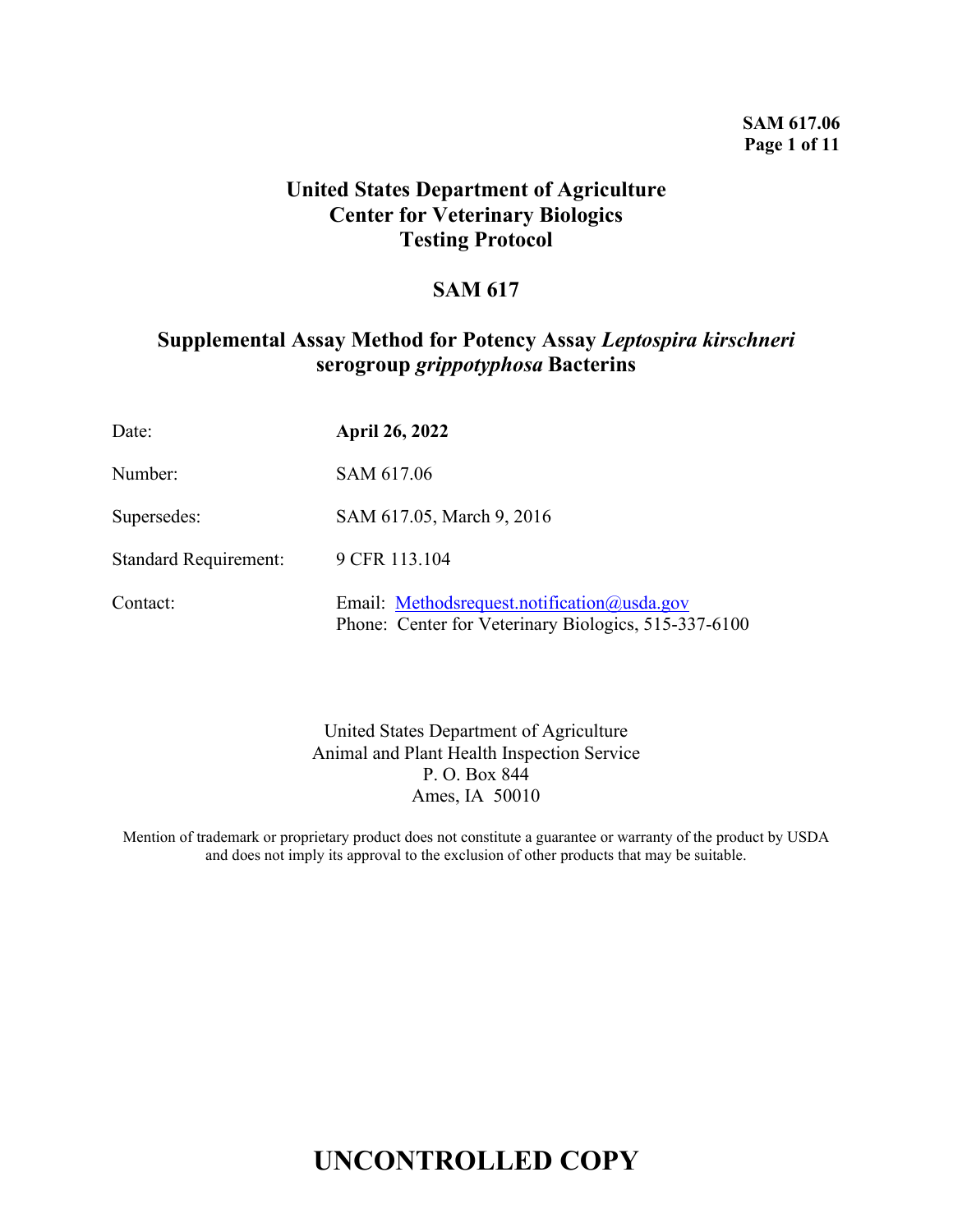#### **SAM 617.06 Page 1 of 11**

### **United States Department of Agriculture Center for Veterinary Biologics Testing Protocol**

### **SAM 617**

### **Supplemental Assay Method for Potency Assay** *Leptospira kirschneri*  **serogroup** *grippotyphosa* **Bacterins**

| Date:                        | <b>April 26, 2022</b>                                                                               |
|------------------------------|-----------------------------------------------------------------------------------------------------|
| Number:                      | SAM 617.06                                                                                          |
| Supersedes:                  | SAM 617.05, March 9, 2016                                                                           |
| <b>Standard Requirement:</b> | 9 CFR 113.104                                                                                       |
| Contact:                     | Email: Methodsrequest.notification@usda.gov<br>Phone: Center for Veterinary Biologics, 515-337-6100 |

United States Department of Agriculture Animal and Plant Health Inspection Service P. O. Box 844 Ames, IA 50010

Mention of trademark or proprietary product does not constitute a guarantee or warranty of the product by USDA and does not imply its approval to the exclusion of other products that may be suitable.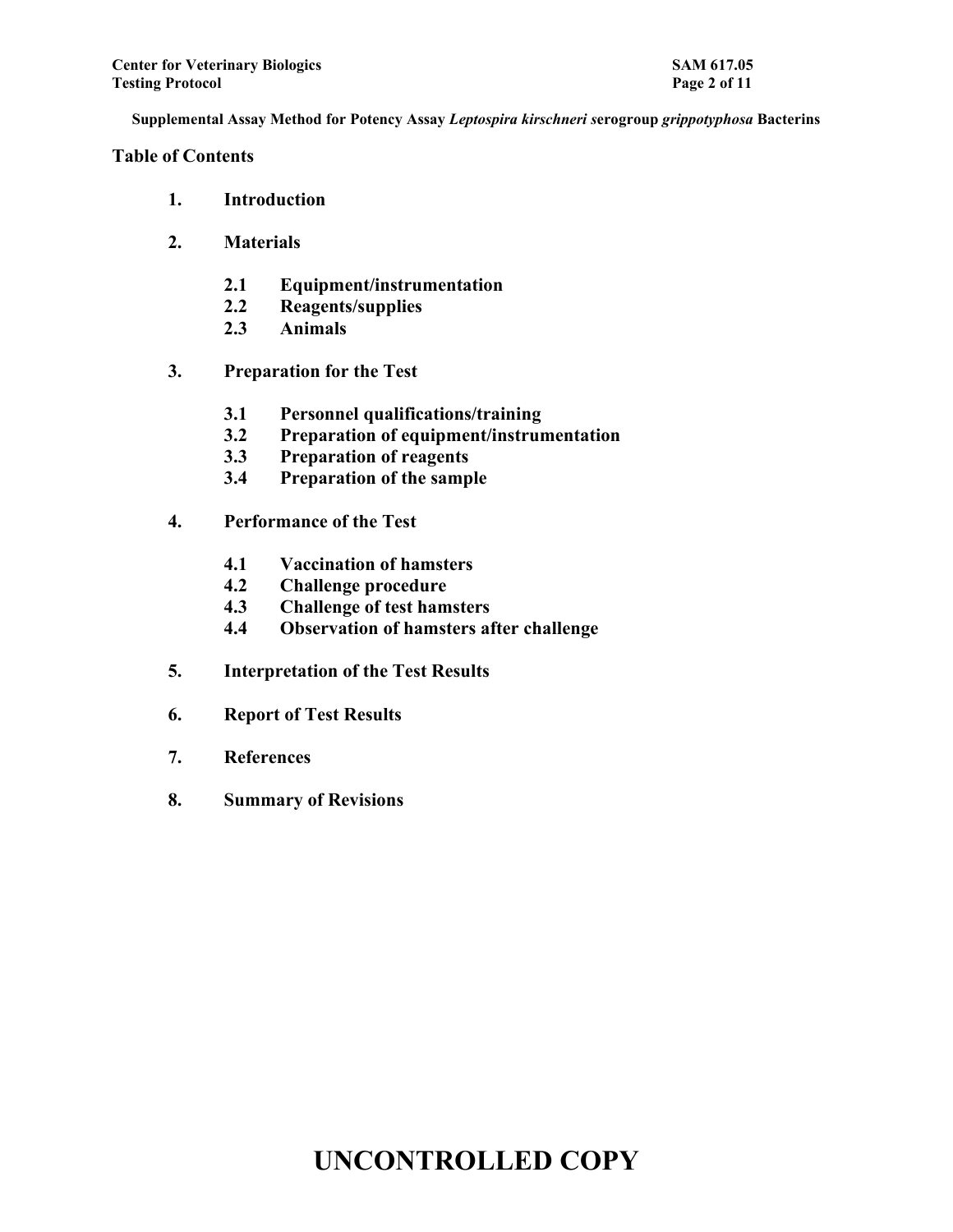### **Table of Contents**

- **1. Introduction**
- **2. Materials**
	- **2.1 Equipment/instrumentation**
	- **2.2 Reagents/supplies**
	- **2.3 Animals**
- **3. Preparation for the Test**
	- **3.1 Personnel qualifications/training**
	- **3.2 Preparation of equipment/instrumentation**
	- **3.3 Preparation of reagents**
	- **3.4 Preparation of the sample**
- **4. Performance of the Test**
	- **4.1 Vaccination of hamsters**
	- **4.2 Challenge procedure**
	- **4.3 Challenge of test hamsters**
	- **4.4 Observation of hamsters after challenge**
- **5. Interpretation of the Test Results**
- **6. Report of Test Results**
- **7. References**
- **8. Summary of Revisions**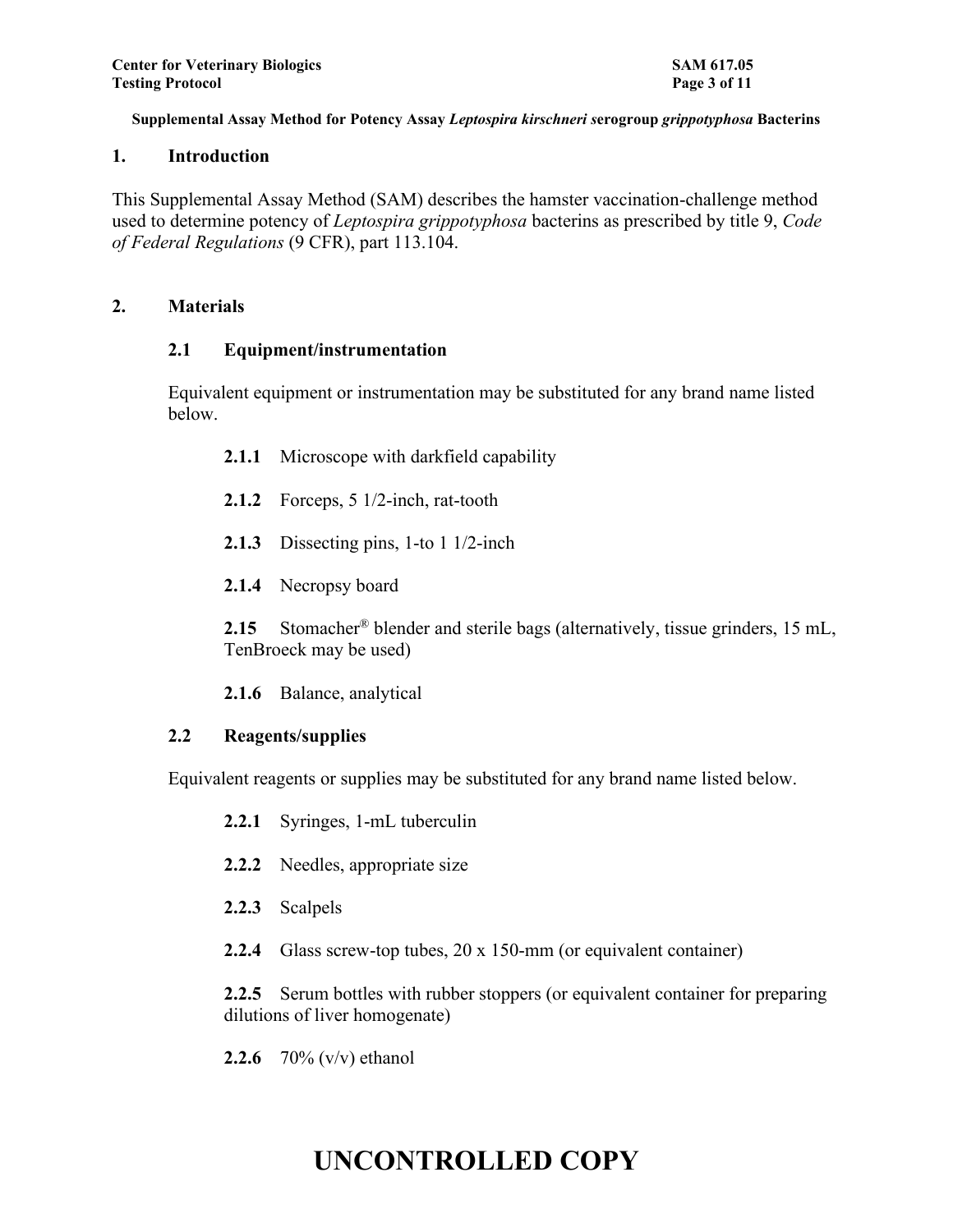#### **1. Introduction**

This Supplemental Assay Method (SAM) describes the hamster vaccination-challenge method used to determine potency of *Leptospira grippotyphosa* bacterins as prescribed by title 9, *Code of Federal Regulations* (9 CFR), part 113.104.

#### **2. Materials**

#### **2.1 Equipment/instrumentation**

Equivalent equipment or instrumentation may be substituted for any brand name listed below.

- **2.1.1** Microscope with darkfield capability
- **2.1.2** Forceps, 5 1/2-inch, rat-tooth
- **2.1.3** Dissecting pins, 1-to 1 1/2-inch
- **2.1.4** Necropsy board

**2.15** Stomacher® blender and sterile bags (alternatively, tissue grinders, 15 mL, TenBroeck may be used)

**2.1.6** Balance, analytical

### **2.2 Reagents/supplies**

Equivalent reagents or supplies may be substituted for any brand name listed below.

- **2.2.1** Syringes, 1-mL tuberculin
- **2.2.2** Needles, appropriate size
- **2.2.3** Scalpels
- **2.2.4** Glass screw-top tubes, 20 x 150-mm (or equivalent container)

**2.2.5** Serum bottles with rubber stoppers (or equivalent container for preparing dilutions of liver homogenate)

**2.2.6** 70% (v/v) ethanol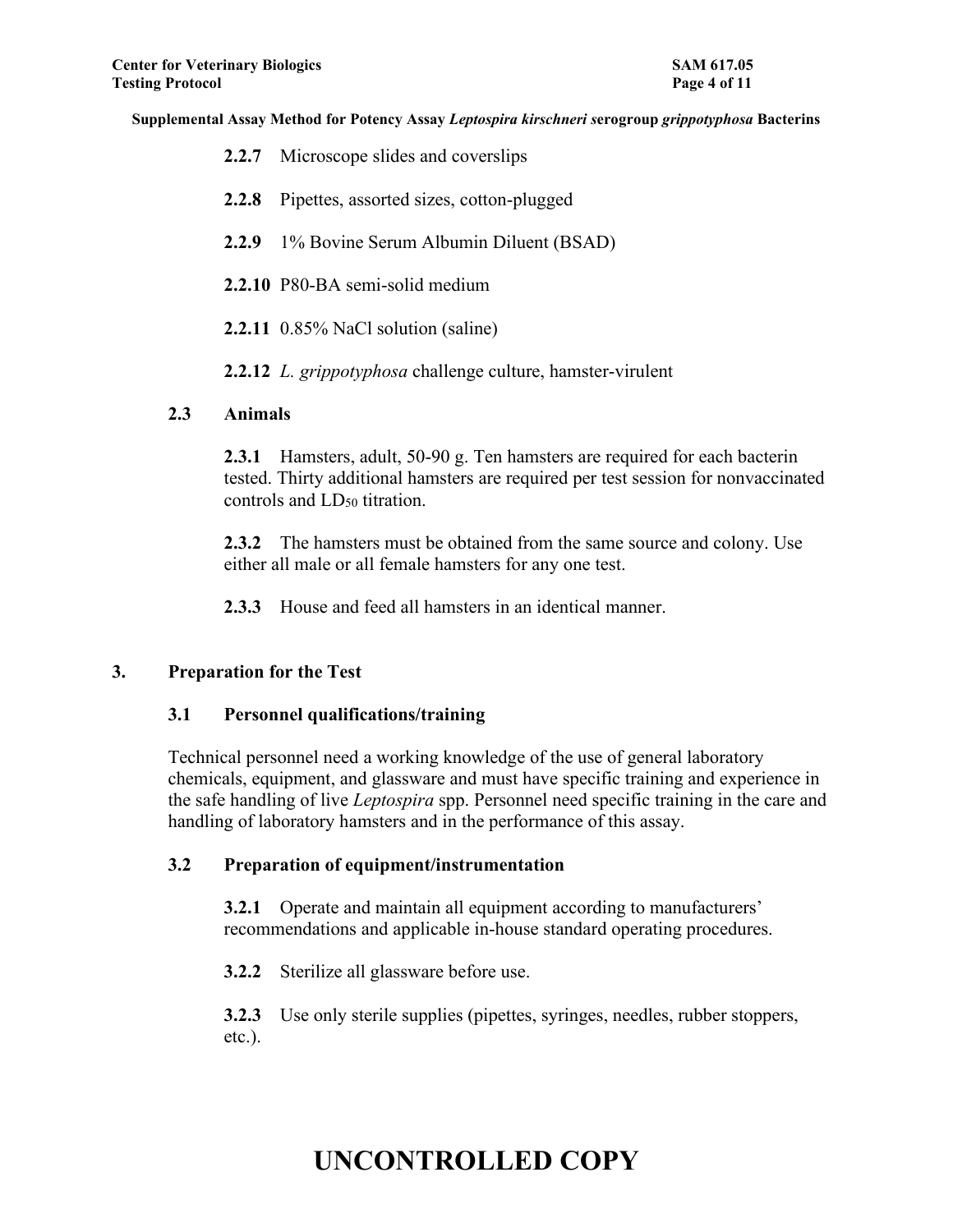| <b>2.2.7</b> Microscope slides and coverslips                             |
|---------------------------------------------------------------------------|
| 2.2.8 Pipettes, assorted sizes, cotton-plugged                            |
| 2.2.9 1% Bovine Serum Albumin Diluent (BSAD)                              |
| 2.2.10 P80-BA semi-solid medium                                           |
| $2.2.11$ 0.85% NaCl solution (saline)                                     |
| <b>2.2.12</b> <i>L. grippotyphosa</i> challenge culture, hamster-virulent |

#### **2.3 Animals**

**2.3.1** Hamsters, adult, 50-90 g. Ten hamsters are required for each bacterin tested. Thirty additional hamsters are required per test session for nonvaccinated controls and LD<sub>50</sub> titration.

**2.3.2** The hamsters must be obtained from the same source and colony. Use either all male or all female hamsters for any one test.

**2.3.3** House and feed all hamsters in an identical manner.

### **3. Preparation for the Test**

### **3.1 Personnel qualifications/training**

Technical personnel need a working knowledge of the use of general laboratory chemicals, equipment, and glassware and must have specific training and experience in the safe handling of live *Leptospira* spp. Personnel need specific training in the care and handling of laboratory hamsters and in the performance of this assay.

### **3.2 Preparation of equipment/instrumentation**

**3.2.1** Operate and maintain all equipment according to manufacturers' recommendations and applicable in-house standard operating procedures.

**3.2.2** Sterilize all glassware before use.

**3.2.3** Use only sterile supplies (pipettes, syringes, needles, rubber stoppers, etc.).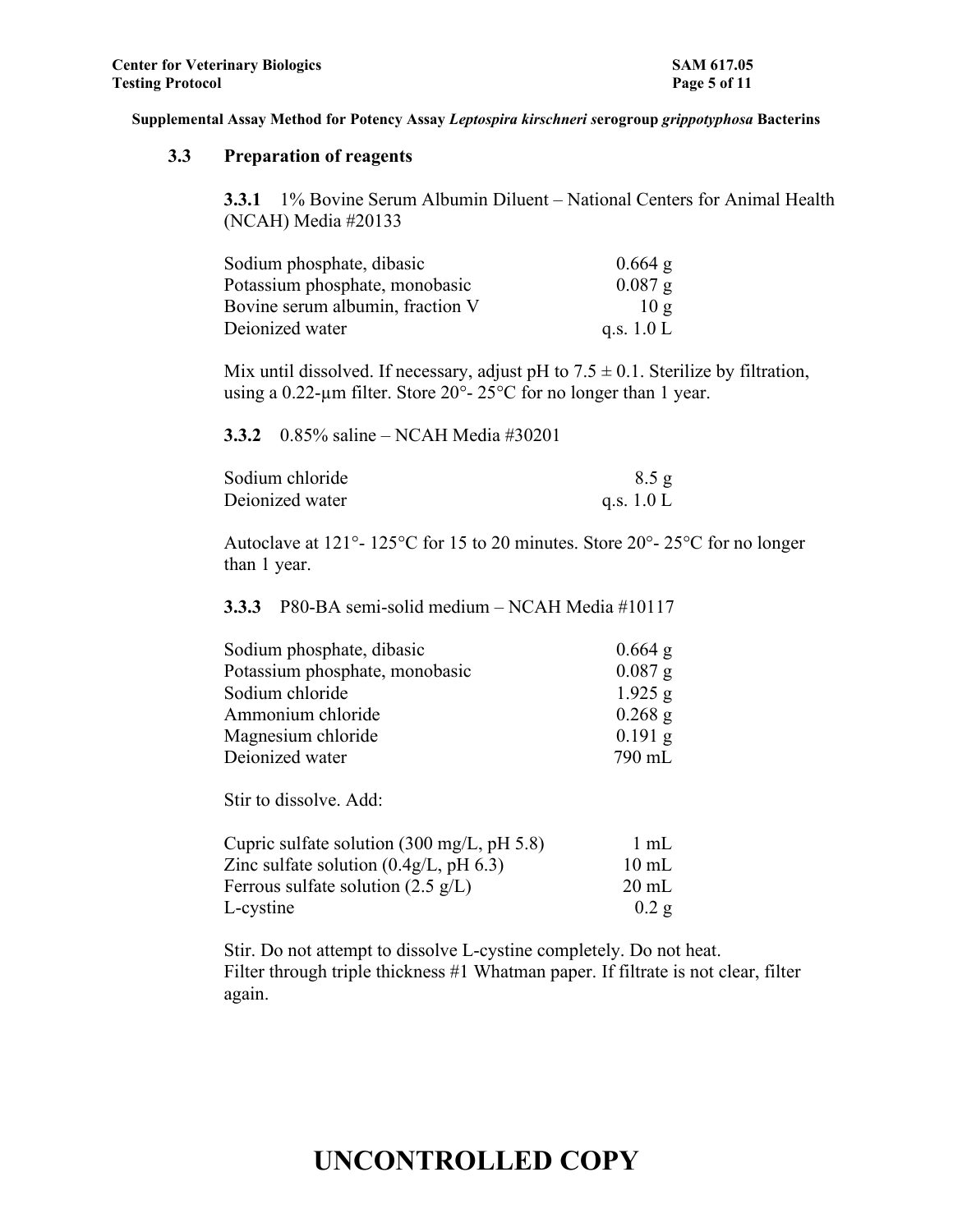#### **3.3 Preparation of reagents**

**3.3.1** 1% Bovine Serum Albumin Diluent – National Centers for Animal Health (NCAH) Media #20133

| Sodium phosphate, dibasic        | $0.664$ g    |
|----------------------------------|--------------|
| Potassium phosphate, monobasic   | $0.087$ g    |
| Bovine serum albumin, fraction V | 10g          |
| Deionized water                  | q.s. $1.0 L$ |

Mix until dissolved. If necessary, adjust pH to  $7.5 \pm 0.1$ . Sterilize by filtration, using a 0.22-µm filter. Store 20°- 25°C for no longer than 1 year.

**3.3.2** 0.85% saline – NCAH Media #30201

| Sodium chloride | 8.5 g        |
|-----------------|--------------|
| Deionized water | q.s. $1.0 L$ |

Autoclave at 121°- 125°C for 15 to 20 minutes. Store 20°- 25°C for no longer than 1 year.

**3.3.3** P80-BA semi-solid medium – NCAH Media #10117

| Sodium phosphate, dibasic      | $0.664$ g |
|--------------------------------|-----------|
| Potassium phosphate, monobasic | $0.087$ g |
| Sodium chloride                | $1.925$ g |
| Ammonium chloride              | $0.268$ g |
| Magnesium chloride             | $0.191$ g |
| Deionized water                | 790 mL    |

Stir to dissolve. Add:

| Cupric sulfate solution $(300 \text{ mg/L}, \text{pH } 5.8)$ | 1 mL            |
|--------------------------------------------------------------|-----------------|
| Zinc sulfate solution $(0.4g/L, pH 6.3)$                     | $10 \text{ mL}$ |
| Ferrous sulfate solution $(2.5 \text{ g/L})$                 | $20 \text{ mL}$ |
| L-cystine                                                    | $0.2$ g         |

Stir. Do not attempt to dissolve L-cystine completely. Do not heat. Filter through triple thickness #1 Whatman paper. If filtrate is not clear, filter again.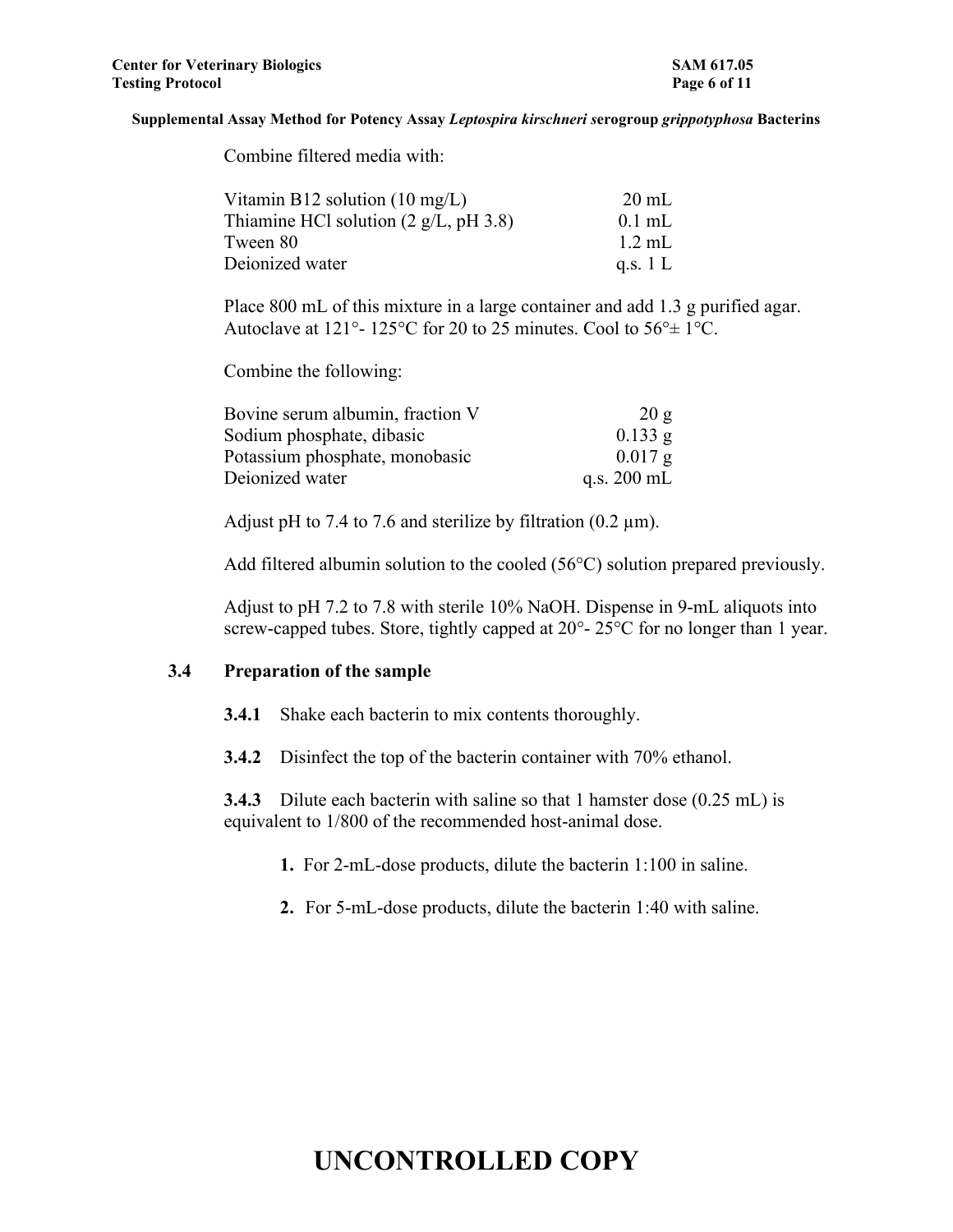| Vitamin B12 solution $(10 \text{ mg/L})$                | $20 \text{ mL}$ |
|---------------------------------------------------------|-----------------|
| Thiamine HCl solution $(2 \text{ g/L}, \text{pH } 3.8)$ | $0.1$ mL        |
| Tween 80                                                | $1.2$ mL        |
| Deionized water                                         | q.s. $1 L$      |

Place 800 mL of this mixture in a large container and add 1.3 g purified agar. Autoclave at 121°- 125°C for 20 to 25 minutes. Cool to 56°± 1°C.

Combine the following:

Combine filtered media with:

| Bovine serum albumin, fraction V | 20g                   |
|----------------------------------|-----------------------|
| Sodium phosphate, dibasic        | $0.133$ g             |
| Potassium phosphate, monobasic   | $0.017 \; \text{g}$   |
| Deionized water                  | q.s. $200 \text{ mL}$ |

Adjust pH to 7.4 to 7.6 and sterilize by filtration  $(0.2 \mu m)$ .

Add filtered albumin solution to the cooled (56°C) solution prepared previously.

Adjust to pH 7.2 to 7.8 with sterile 10% NaOH. Dispense in 9-mL aliquots into screw-capped tubes. Store, tightly capped at 20°-25°C for no longer than 1 year.

#### **3.4 Preparation of the sample**

**3.4.1** Shake each bacterin to mix contents thoroughly.

**3.4.2** Disinfect the top of the bacterin container with 70% ethanol.

**3.4.3** Dilute each bacter in with saline so that 1 hamster dose (0.25 mL) is equivalent to 1/800 of the recommended host-animal dose.

**1.** For 2-mL-dose products, dilute the bacterin 1:100 in saline.

**2.** For 5-mL-dose products, dilute the bacterin 1:40 with saline.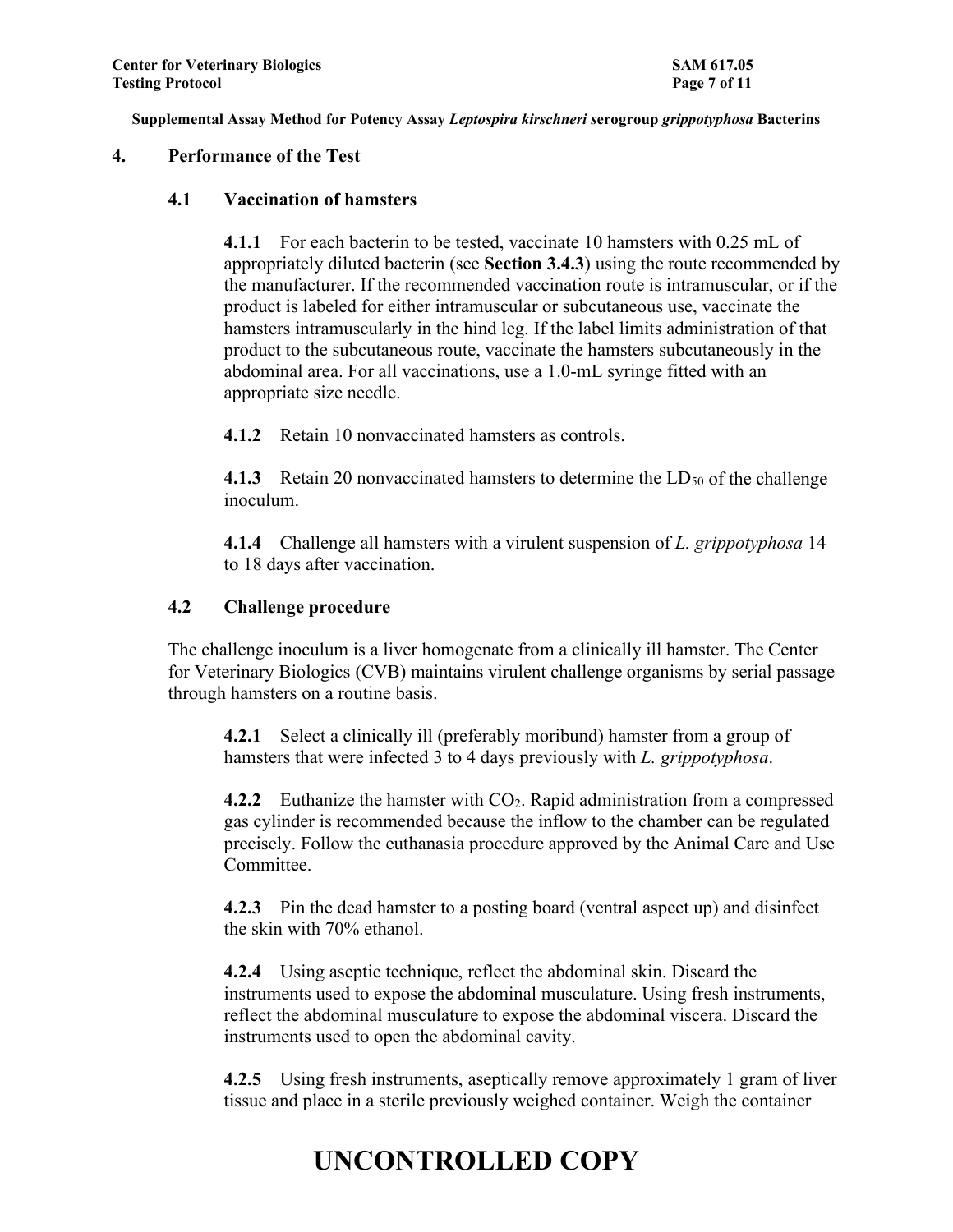#### **4. Performance of the Test**

#### **4.1 Vaccination of hamsters**

**4.1.1** For each bacterin to be tested, vaccinate 10 hamsters with 0.25 mL of appropriately diluted bacterin (see **Section 3.4.3**) using the route recommended by the manufacturer. If the recommended vaccination route is intramuscular, or if the product is labeled for either intramuscular or subcutaneous use, vaccinate the hamsters intramuscularly in the hind leg. If the label limits administration of that product to the subcutaneous route, vaccinate the hamsters subcutaneously in the abdominal area. For all vaccinations, use a 1.0-mL syringe fitted with an appropriate size needle.

**4.1.2** Retain 10 nonvaccinated hamsters as controls.

**4.1.3** Retain 20 nonvaccinated hamsters to determine the LD<sub>50</sub> of the challenge inoculum.

**4.1.4** Challenge all hamsters with a virulent suspension of *L. grippotyphosa* 14 to 18 days after vaccination.

#### **4.2 Challenge procedure**

The challenge inoculum is a liver homogenate from a clinically ill hamster. The Center for Veterinary Biologics (CVB) maintains virulent challenge organisms by serial passage through hamsters on a routine basis.

**4.2.1** Select a clinically ill (preferably moribund) hamster from a group of hamsters that were infected 3 to 4 days previously with *L. grippotyphosa*.

**4.2.2** Euthanize the hamster with CO<sub>2</sub>. Rapid administration from a compressed gas cylinder is recommended because the inflow to the chamber can be regulated precisely. Follow the euthanasia procedure approved by the Animal Care and Use Committee.

**4.2.3** Pin the dead hamster to a posting board (ventral aspect up) and disinfect the skin with 70% ethanol.

**4.2.4** Using aseptic technique, reflect the abdominal skin. Discard the instruments used to expose the abdominal musculature. Using fresh instruments, reflect the abdominal musculature to expose the abdominal viscera. Discard the instruments used to open the abdominal cavity.

**4.2.5** Using fresh instruments, aseptically remove approximately 1 gram of liver tissue and place in a sterile previously weighed container. Weigh the container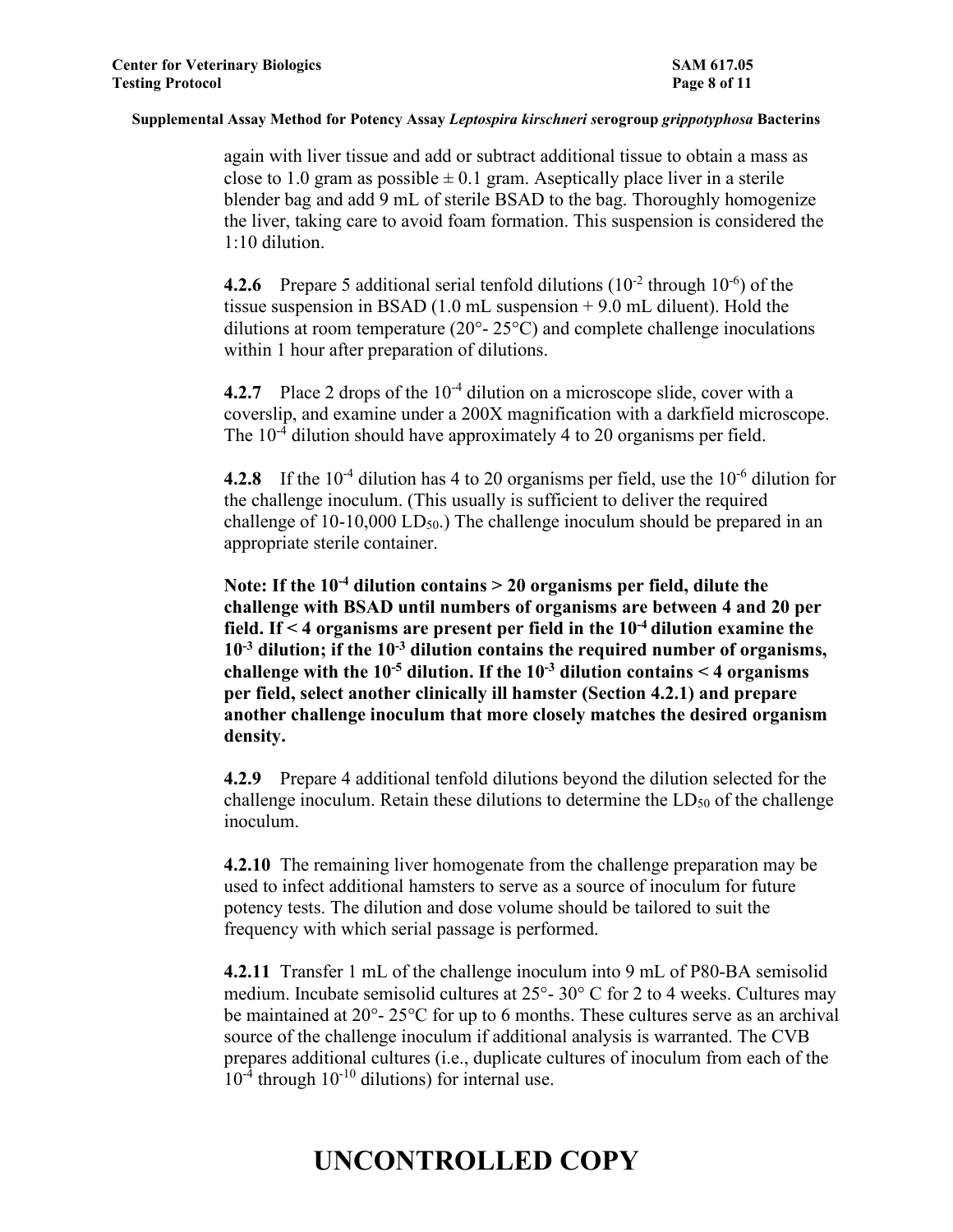again with liver tissue and add or subtract additional tissue to obtain a mass as close to 1.0 gram as possible  $\pm$  0.1 gram. Aseptically place liver in a sterile blender bag and add 9 mL of sterile BSAD to the bag. Thoroughly homogenize the liver, taking care to avoid foam formation. This suspension is considered the 1:10 dilution.

**4.2.6** Prepare 5 additional serial tenfold dilutions  $(10^{-2}$  through  $10^{-6}$ ) of the tissue suspension in BSAD (1.0 mL suspension + 9.0 mL diluent). Hold the dilutions at room temperature ( $20^{\circ}$ -  $25^{\circ}$ C) and complete challenge inoculations within 1 hour after preparation of dilutions.

**4.2.7** Place 2 drops of the 10<sup>-4</sup> dilution on a microscope slide, cover with a coverslip, and examine under a 200X magnification with a darkfield microscope. The  $10^{-4}$  dilution should have approximately 4 to 20 organisms per field.

**4.2.8** If the 10<sup>-4</sup> dilution has 4 to 20 organisms per field, use the 10<sup>-6</sup> dilution for the challenge inoculum. (This usually is sufficient to deliver the required challenge of  $10-10,000$  LD<sub>50</sub>.) The challenge inoculum should be prepared in an appropriate sterile container.

**Note: If the 10-4 dilution contains > 20 organisms per field, dilute the challenge with BSAD until numbers of organisms are between 4 and 20 per field. If < 4 organisms are present per field in the 10-4 dilution examine the 10-3 dilution; if the 10-3 dilution contains the required number of organisms, challenge with the 10-5 dilution. If the 10-3 dilution contains < 4 organisms per field, select another clinically ill hamster (Section 4.2.1) and prepare another challenge inoculum that more closely matches the desired organism density.**

**4.2.9** Prepare 4 additional tenfold dilutions beyond the dilution selected for the challenge inoculum. Retain these dilutions to determine the  $LD_{50}$  of the challenge inoculum.

**4.2.10** The remaining liver homogenate from the challenge preparation may be used to infect additional hamsters to serve as a source of inoculum for future potency tests. The dilution and dose volume should be tailored to suit the frequency with which serial passage is performed.

**4.2.11** Transfer 1 mL of the challenge inoculum into 9 mL of P80-BA semisolid medium. Incubate semisolid cultures at 25°- 30° C for 2 to 4 weeks. Cultures may be maintained at 20°- 25°C for up to 6 months. These cultures serve as an archival source of the challenge inoculum if additional analysis is warranted. The CVB prepares additional cultures (i.e., duplicate cultures of inoculum from each of the  $10^{-4}$  through  $10^{-10}$  dilutions) for internal use.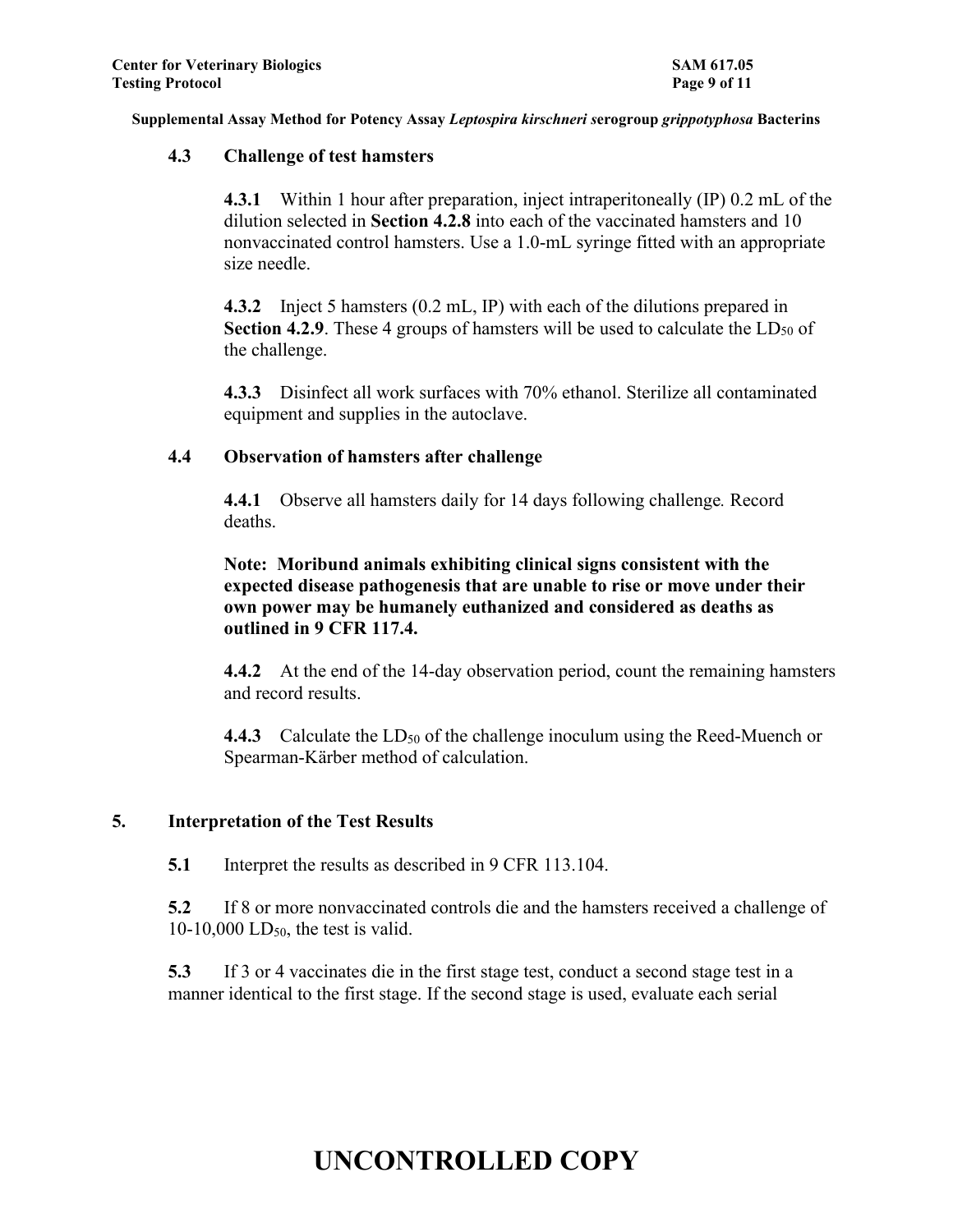#### **4.3 Challenge of test hamsters**

**4.3.1** Within 1 hour after preparation, inject intraperitoneally (IP) 0.2 mL of the dilution selected in **Section 4.2.8** into each of the vaccinated hamsters and 10 nonvaccinated control hamsters. Use a 1.0-mL syringe fitted with an appropriate size needle.

**4.3.2** Inject 5 hamsters (0.2 mL, IP) with each of the dilutions prepared in **Section 4.2.9**. These 4 groups of hamsters will be used to calculate the  $LD_{50}$  of the challenge.

**4.3.3** Disinfect all work surfaces with 70% ethanol. Sterilize all contaminated equipment and supplies in the autoclave.

### **4.4 Observation of hamsters after challenge**

**4.4.1** Observe all hamsters daily for 14 days following challenge*.* Record deaths.

**Note: Moribund animals exhibiting clinical signs consistent with the expected disease pathogenesis that are unable to rise or move under their own power may be humanely euthanized and considered as deaths as outlined in 9 CFR 117.4.**

**4.4.2** At the end of the 14-day observation period, count the remaining hamsters and record results.

**4.4.3** Calculate the LD<sub>50</sub> of the challenge inoculum using the Reed-Muench or Spearman-Kärber method of calculation.

### **5. Interpretation of the Test Results**

**5.1** Interpret the results as described in 9 CFR 113.104.

**5.2** If 8 or more nonvaccinated controls die and the hamsters received a challenge of 10-10,000 LD<sub>50</sub>, the test is valid.

**5.3** If 3 or 4 vaccinates die in the first stage test, conduct a second stage test in a manner identical to the first stage. If the second stage is used, evaluate each serial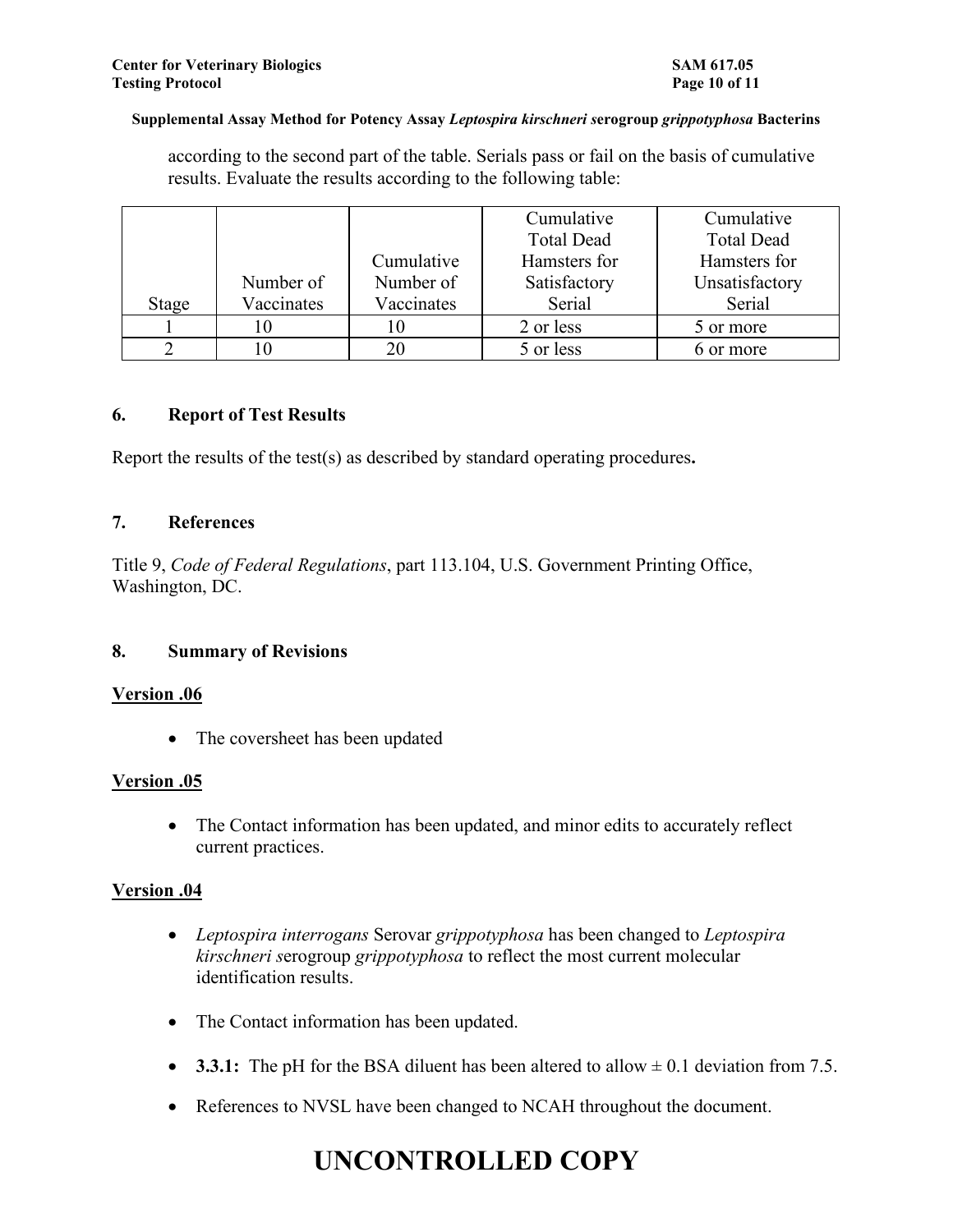according to the second part of the table. Serials pass or fail on the basis of cumulative results. Evaluate the results according to the following table:

|       |            |            | Cumulative        | Cumulative        |
|-------|------------|------------|-------------------|-------------------|
|       |            |            | <b>Total Dead</b> | <b>Total Dead</b> |
|       |            | Cumulative | Hamsters for      | Hamsters for      |
|       | Number of  | Number of  | Satisfactory      | Unsatisfactory    |
| Stage | Vaccinates | Vaccinates | Serial            | Serial            |
|       |            |            | 2 or less         | 5 or more         |
|       |            | 20         | 5 or less         | 6 or more         |

#### **6. Report of Test Results**

Report the results of the test(s) as described by standard operating procedures**.**

#### **7. References**

Title 9, *Code of Federal Regulations*, part 113.104, U.S. Government Printing Office, Washington, DC.

### **8. Summary of Revisions**

### **Version .06**

• The coversheet has been updated

### **Version .05**

• The Contact information has been updated, and minor edits to accurately reflect current practices.

### **Version .04**

- *Leptospira interrogans* Serovar *grippotyphosa* has been changed to *Leptospira kirschneri s*erogroup *grippotyphosa* to reflect the most current molecular identification results.
- The Contact information has been updated.
- **3.3.1:** The pH for the BSA diluent has been altered to allow  $\pm$  0.1 deviation from 7.5.
- References to NVSL have been changed to NCAH throughout the document.